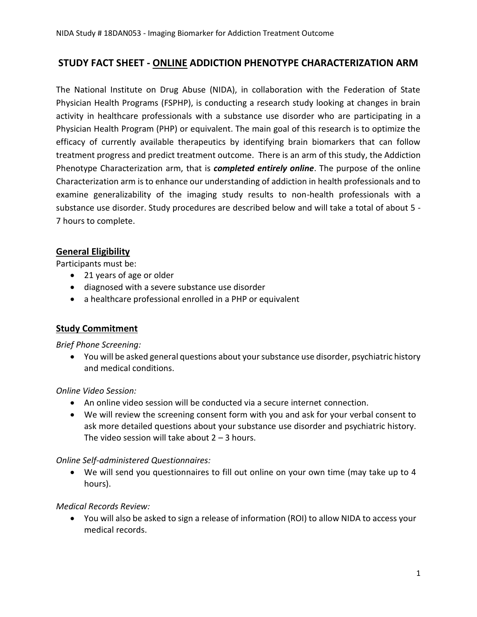# **STUDY FACT SHEET - ONLINE ADDICTION PHENOTYPE CHARACTERIZATION ARM**

The National Institute on Drug Abuse (NIDA), in collaboration with the Federation of State Physician Health Programs (FSPHP), is conducting a research study looking at changes in brain activity in healthcare professionals with a substance use disorder who are participating in a Physician Health Program (PHP) or equivalent. The main goal of this research is to optimize the efficacy of currently available therapeutics by identifying brain biomarkers that can follow treatment progress and predict treatment outcome. There is an arm of this study, the Addiction Phenotype Characterization arm, that is *completed entirely online*. The purpose of the online Characterization arm is to enhance our understanding of addiction in health professionals and to examine generalizability of the imaging study results to non-health professionals with a substance use disorder. Study procedures are described below and will take a total of about 5 - 7 hours to complete.

### **General Eligibility**

Participants must be:

- 21 years of age or older
- diagnosed with a severe substance use disorder
- a healthcare professional enrolled in a PHP or equivalent

### **Study Commitment**

#### *Brief Phone Screening:*

• You will be asked general questions about your substance use disorder, psychiatric history and medical conditions.

### *Online Video Session:*

- An online video session will be conducted via a secure internet connection.
- We will review the screening consent form with you and ask for your verbal consent to ask more detailed questions about your substance use disorder and psychiatric history. The video session will take about  $2 - 3$  hours.

### *Online Self-administered Questionnaires:*

• We will send you questionnaires to fill out online on your own time (may take up to 4 hours).

### *Medical Records Review:*

• You will also be asked to sign a release of information (ROI) to allow NIDA to access your medical records.